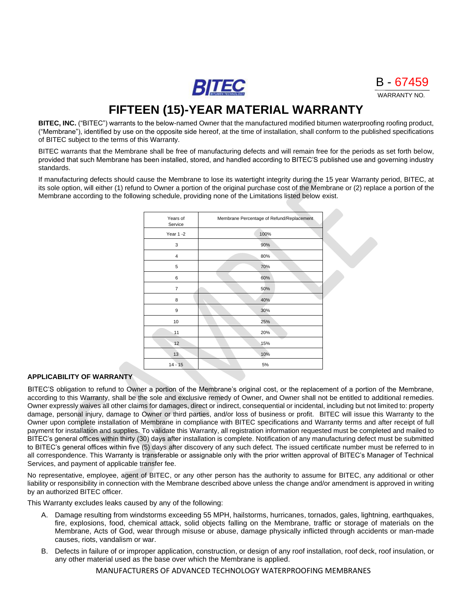**BITEC** 



# **FIFTEEN (15)-YEAR MATERIAL WARRANTY**

**BITEC, INC.** ("BITEC") warrants to the below-named Owner that the manufactured modified bitumen waterproofing roofing product, ("Membrane"), identified by use on the opposite side hereof, at the time of installation, shall conform to the published specifications of BITEC subject to the terms of this Warranty.

BITEC warrants that the Membrane shall be free of manufacturing defects and will remain free for the periods as set forth below, provided that such Membrane has been installed, stored, and handled according to BITEC'S published use and governing industry standards.

If manufacturing defects should cause the Membrane to lose its watertight integrity during the 15 year Warranty period, BITEC, at its sole option, will either (1) refund to Owner a portion of the original purchase cost of the Membrane or (2) replace a portion of the Membrane according to the following schedule, providing none of the Limitations listed below exist.

| Years of<br>Service | Membrane Percentage of Refund/Replacement |
|---------------------|-------------------------------------------|
| Year 1 -2           | 100%                                      |
| 3                   | 90%                                       |
| 4                   | 80%                                       |
| 5                   | 70%                                       |
| 6                   | 60%                                       |
| 7                   | 50%                                       |
| 8                   | 40%                                       |
| 9                   | 30%                                       |
| 10                  | 25%                                       |
| 11                  | 20%                                       |
| 12                  | 15%                                       |
| 13                  | 10%                                       |
| $14 - 15$           | 5%                                        |

## **APPLICABILITY OF WARRANTY**

BITEC'S obligation to refund to Owner a portion of the Membrane's original cost, or the replacement of a portion of the Membrane, according to this Warranty, shall be the sole and exclusive remedy of Owner, and Owner shall not be entitled to additional remedies. Owner expressly waives all other claims for damages, direct or indirect, consequential or incidental, including but not limited to: property damage, personal injury, damage to Owner or third parties, and/or loss of business or profit. BITEC will issue this Warranty to the Owner upon complete installation of Membrane in compliance with BITEC specifications and Warranty terms and after receipt of full payment for installation and supplies. To validate this Warranty, all registration information requested must be completed and mailed to BITEC's general offices within thirty (30) days after installation is complete. Notification of any manufacturing defect must be submitted to BITEC's general offices within five (5) days after discovery of any such defect. The issued certificate number must be referred to in all correspondence. This Warranty is transferable or assignable only with the prior written approval of BITEC's Manager of Technical Services, and payment of applicable transfer fee.

No representative, employee, agent of BITEC, or any other person has the authority to assume for BITEC, any additional or other liability or responsibility in connection with the Membrane described above unless the change and/or amendment is approved in writing by an authorized BITEC officer.

This Warranty excludes leaks caused by any of the following:

- A. Damage resulting from windstorms exceeding 55 MPH, hailstorms, hurricanes, tornados, gales, lightning, earthquakes, fire, explosions, food, chemical attack, solid objects falling on the Membrane, traffic or storage of materials on the Membrane, Acts of God, wear through misuse or abuse, damage physically inflicted through accidents or man-made causes, riots, vandalism or war.
- B. Defects in failure of or improper application, construction, or design of any roof installation, roof deck, roof insulation, or any other material used as the base over which the Membrane is applied.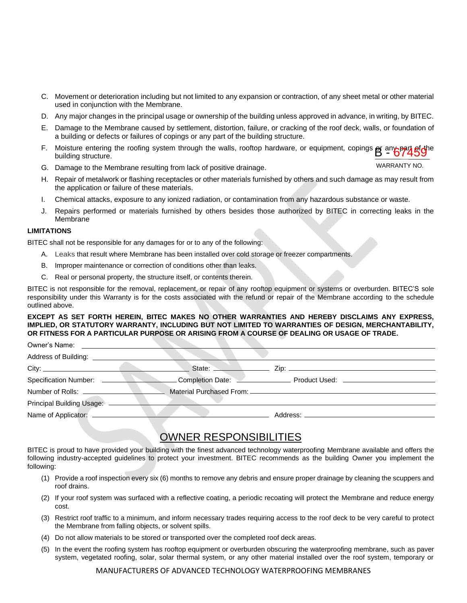- C. Movement or deterioration including but not limited to any expansion or contraction, of any sheet metal or other material used in conjunction with the Membrane.
- D. Any major changes in the principal usage or ownership of the building unless approved in advance, in writing, by BITEC.
- E. Damage to the Membrane caused by settlement, distortion, failure, or cracking of the roof deck, walls, or foundation of a building or defects or failures of copings or any part of the building structure.
- F. Moisture entering the roofing system through the walls, rooftop hardware, or equipment, copings **e**r any part ef the<br>building structure. building structure.
- G. Damage to the Membrane resulting from lack of positive drainage.
- H. Repair of metalwork or flashing receptacles or other materials furnished by others and such damage as may result from the application or failure of these materials.
- I. Chemical attacks, exposure to any ionized radiation, or contamination from any hazardous substance or waste.
- J. Repairs performed or materials furnished by others besides those authorized by BITEC in correcting leaks in the Membrane

#### **LIMITATIONS**

BITEC shall not be responsible for any damages for or to any of the following:

- A. Leaks that result where Membrane has been installed over cold storage or freezer compartments.
- B. Improper maintenance or correction of conditions other than leaks.
- C. Real or personal property, the structure itself, or contents therein.

BITEC is not responsible for the removal, replacement, or repair of any rooftop equipment or systems or overburden. BITEC'S sole responsibility under this Warranty is for the costs associated with the refund or repair of the Membrane according to the schedule outlined above.

#### **EXCEPT AS SET FORTH HEREIN, BITEC MAKES NO OTHER WARRANTIES AND HEREBY DISCLAIMS ANY EXPRESS, IMPLIED, OR STATUTORY WARRANTY, INCLUDING BUT NOT LIMITED TO WARRANTIES OF DESIGN, MERCHANTABILITY, OR FITNESS FOR A PARTICULAR PURPOSE OR ARISING FROM A COURSE OF DEALING OR USAGE OF TRADE.**

| Owner's Name:                |                                    |                                   |  |
|------------------------------|------------------------------------|-----------------------------------|--|
| Address of Building:         |                                    |                                   |  |
|                              |                                    | State: <u>New York: Zip:</u> Zip: |  |
| <b>Specification Number:</b> | Completion Date: <u>Completion</u> | Product Used: __________          |  |
| Number of Rolls: __________  |                                    |                                   |  |
| Principal Building Usage:    |                                    |                                   |  |
| Name of Applicator: _        |                                    | Address: _________________        |  |

## OWNER RESPONSIBILITIES

BITEC is proud to have provided your building with the finest advanced technology waterproofing Membrane available and offers the following industry-accepted guidelines to protect your investment. BITEC recommends as the building Owner you implement the following:

- (1) Provide a roof inspection every six (6) months to remove any debris and ensure proper drainage by cleaning the scuppers and roof drains.
- (2) If your roof system was surfaced with a reflective coating, a periodic recoating will protect the Membrane and reduce energy cost.
- (3) Restrict roof traffic to a minimum, and inform necessary trades requiring access to the roof deck to be very careful to protect the Membrane from falling objects, or solvent spills.
- (4) Do not allow materials to be stored or transported over the completed roof deck areas.
- (5) In the event the roofing system has rooftop equipment or overburden obscuring the waterproofing membrane, such as paver system, vegetated roofing, solar, solar thermal system, or any other material installed over the roof system, temporary or

WARRANTY NO.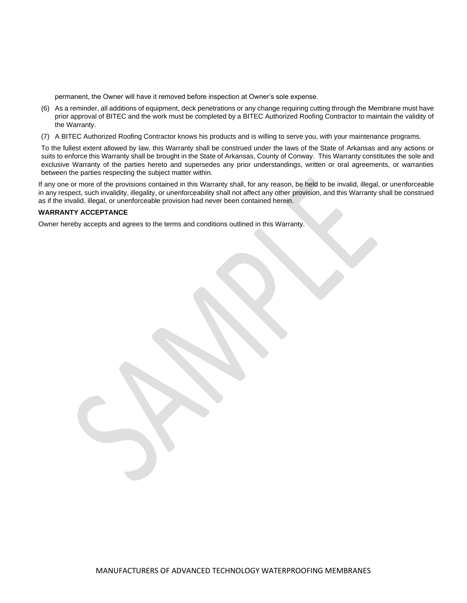permanent, the Owner will have it removed before inspection at Owner's sole expense.

- (6) As a reminder, all additions of equipment, deck penetrations or any change requiring cutting through the Membrane must have prior approval of BITEC and the work must be completed by a BITEC Authorized Roofing Contractor to maintain the validity of the Warranty.
- (7) A BITEC Authorized Roofing Contractor knows his products and is willing to serve you, with your maintenance programs.

To the fullest extent allowed by law, this Warranty shall be construed under the laws of the State of Arkansas and any actions or suits to enforce this Warranty shall be brought in the State of Arkansas, County of Conway. This Warranty constitutes the sole and exclusive Warranty of the parties hereto and supersedes any prior understandings, written or oral agreements, or warranties between the parties respecting the subject matter within.

If any one or more of the provisions contained in this Warranty shall, for any reason, be held to be invalid, illegal, or unenforceable in any respect, such invalidity, illegality, or unenforceability shall not affect any other provision, and this Warranty shall be construed as if the invalid, illegal, or unenforceable provision had never been contained herein.

### **WARRANTY ACCEPTANCE**

Owner hereby accepts and agrees to the terms and conditions outlined in this Warranty.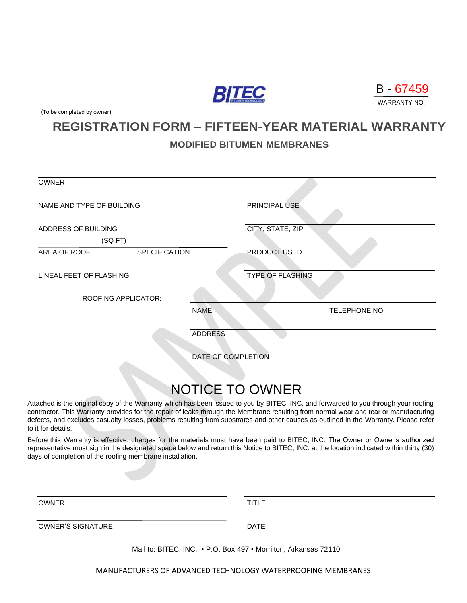



(To be completed by owner)

## **REGISTRATION FORM – FIFTEEN-YEAR MATERIAL WARRANTY**

## **MODIFIED BITUMEN MEMBRANES**

| <b>OWNER</b>                         |                            |                    |                         |  |  |
|--------------------------------------|----------------------------|--------------------|-------------------------|--|--|
|                                      |                            |                    |                         |  |  |
| NAME AND TYPE OF BUILDING            |                            |                    | PRINCIPAL USE           |  |  |
| ADDRESS OF BUILDING                  |                            |                    | CITY, STATE, ZIP        |  |  |
| (SQFT)                               |                            |                    |                         |  |  |
| AREA OF ROOF<br><b>SPECIFICATION</b> |                            |                    | PRODUCT USED            |  |  |
|                                      |                            |                    |                         |  |  |
| LINEAL FEET OF FLASHING              |                            |                    | <b>TYPE OF FLASHING</b> |  |  |
|                                      | <b>ROOFING APPLICATOR:</b> |                    |                         |  |  |
|                                      |                            | <b>NAME</b>        | TELEPHONE NO.           |  |  |
|                                      |                            | <b>ADDRESS</b>     |                         |  |  |
|                                      |                            |                    |                         |  |  |
|                                      |                            | DATE OF COMPLETION |                         |  |  |
|                                      |                            |                    |                         |  |  |

# NOTICE TO OWNER

Attached is the original copy of the Warranty which has been issued to you by BITEC, INC. and forwarded to you through your roofing contractor. This Warranty provides for the repair of leaks through the Membrane resulting from normal wear and tear or manufacturing defects, and excludes casualty losses, problems resulting from substrates and other causes as outlined in the Warranty. Please refer to it for details.

Before this Warranty is effective, charges for the materials must have been paid to BITEC, INC. The Owner or Owner's authorized representative must sign in the designated space below and return this Notice to BITEC, INC. at the location indicated within thirty (30) days of completion of the roofing membrane installation.

| TITLE |  |  |
|-------|--|--|
|       |  |  |

OWNER'S SIGNATURE **DATE** 

Mail to: BITEC, INC. • P.O. Box 497 • Morrilton, Arkansas 72110

MANUFACTURERS OF ADVANCED TECHNOLOGY WATERPROOFING MEMBRANES